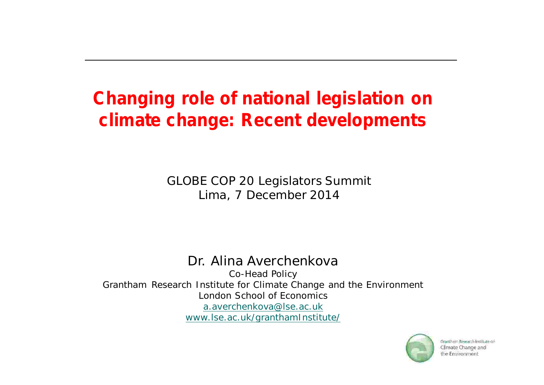### **Changing role of national legislation on climate change: Recent developments**

GLOBE COP 20 Legislators Summit Lima, 7 December 2014

#### Dr. Alina Averchenkova

Co-Head Policy Grantham Research Institute for Climate Change and the Environment London School of Economics a.averchenkova@lse.ac.uk www.lse.ac.uk/granthamInstitute/

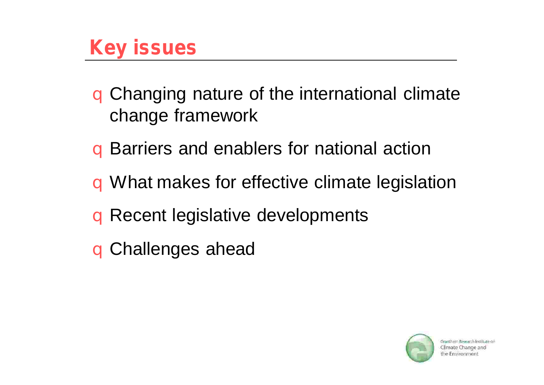# **Key issues**

q Changing nature of the international climate change framework

- q Barriers and enablers for national action
- q What makes for effective climate legislation
- q Recent legislative developments
- q Challenges ahead

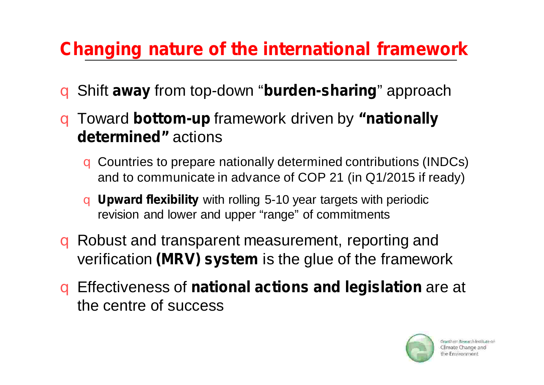### **Changing nature of the international framework**

- **q** Shift away from top-down "burden-sharing" approach
- **q Toward bottom-up** framework driven by "nationally **determined"** actions
	- q Countries to prepare nationally determined contributions (INDCs) and to communicate in advance of COP 21 (in Q1/2015 if ready)
	- **q Upward flexibility** with rolling 5-10 year targets with periodic revision and lower and upper "range" of commitments
- verification (MRV) system is the glue of the framework q Robust and transparent measurement, reporting and
- **q** Effectiveness of national actions and legislation are at the centre of success

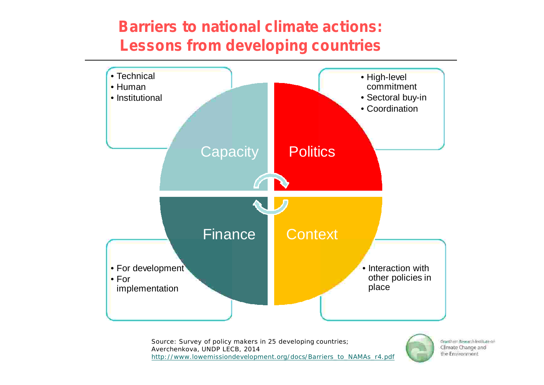#### **Barriers to national climate actions: Lessons from developing countries**



Source: Survey of policy makers in 25 developing countries; Averchenkova, UNDP LECB, 2014 http://www.lowemissiondevelopment.org/docs/Barriers\_to\_NAMAs\_r4.pdf

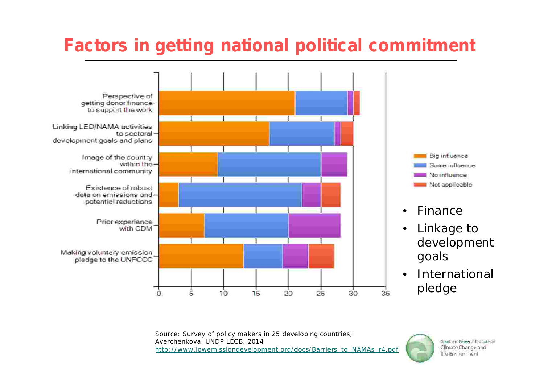#### **Factors in getting national political commitment**



Source: Survey of policy makers in 25 developing countries; Averchenkova, UNDP LECB, 2014 http://www.lowemissiondevelopment.org/docs/Barriers\_to\_NAMAs\_r4.pdf

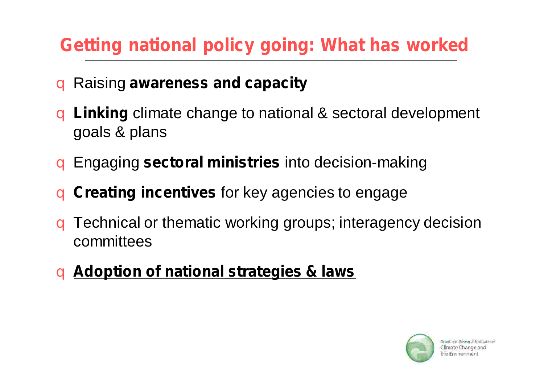### **Getting national policy going: What has worked**

#### **a** Raising awareness and capacity

- **Linking** climate change to national & sectoral development  $\overline{a}$ goals & plans
- **g** Engaging sectoral ministries into decision-making
- **G** Creating incentives for key agencies to engage
- q Technical or thematic working groups; interagency decision committees
- **Adoption of national strategies & laws** q

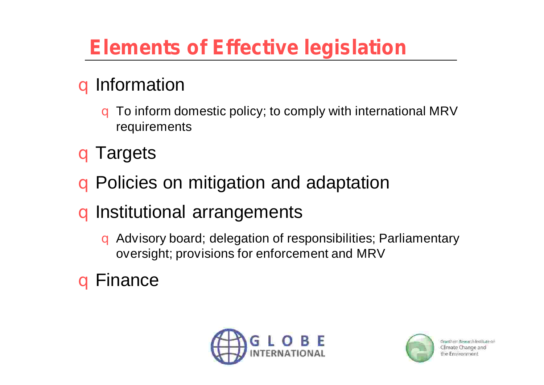# **Elements of Effective legislation**

### q Information

 $\overline{a}$ To inform domestic policy; to comply with international MRV requirements

q Targets

q Policies on mitigation and adaptation

q Institutional arrangements

q Advisory board; delegation of responsibilities; Parliamentary oversight; provisions for enforcement and MRV

q Finance



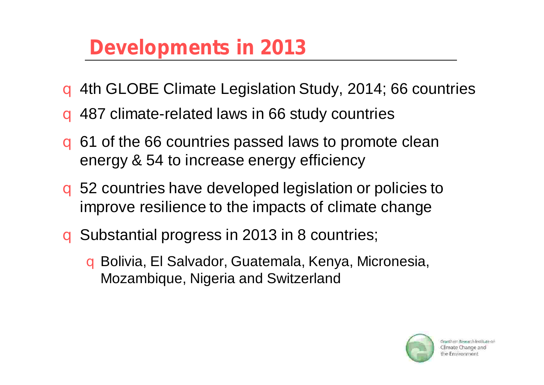# **Developments in 2013**

- q 4th GLOBE Climate Legislation Study, 2014; 66 countries
- q 487 climate-related laws in 66 study countries
- q 61 of the 66 countries passed laws to promote clean energy & 54 to increase energy efficiency
- q 52 countries have developed legislation or policies to improve resilience to the impacts of climate change
- q Substantial progress in 2013 in 8 countries;
	- q Bolivia, El Salvador, Guatemala, Kenya, Micronesia, Mozambique, Nigeria and Switzerland

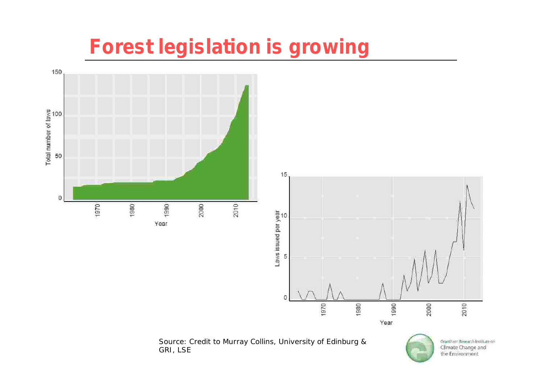# **Forest legislation is growing**



Source: Credit to Murray Collins, University of Edinburg & GRI, LSE

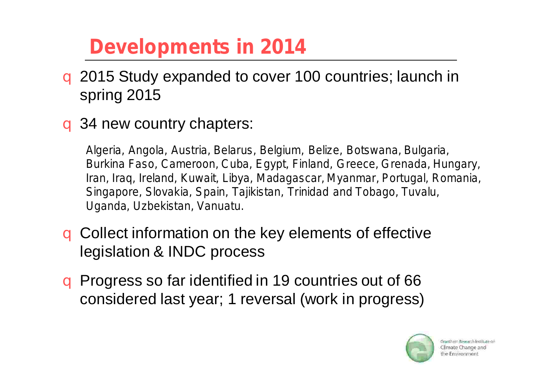# **Developments in 2014**

- q 2015 Study expanded to cover 100 countries; launch in spring 2015
- q 34 new country chapters:

*Algeria, Angola, Austria, Belarus, Belgium, Belize, Botswana, Bulgaria, Burkina Faso, Cameroon, Cuba, Egypt, Finland, Greece, Grenada, Hungary, Iran, Iraq, Ireland, Kuwait, Libya, Madagascar, Myanmar, Portugal, Romania, Singapore, Slovakia, Spain, Tajikistan, Trinidad and Tobago, Tuvalu, Uganda, Uzbekistan, Vanuatu.*

- q Collect information on the key elements of effective legislation & INDC process
- q Progress so far identified in 19 countries out of 66 considered last year; 1 reversal (work in progress)

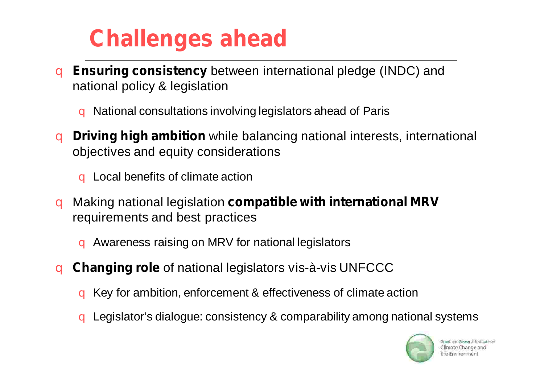# **Challenges ahead**

- **Ensuring consistency** between international pledge (INDC) and q national policy & legislation
	- q National consultations involving legislators ahead of Paris
- **Driving high ambition** while balancing national interests, international q objectives and equity considerations

q Local benefits of climate action

- **Making national legislation compatible with international MRV** q requirements and best practices
	- q Awareness raising on MRV for national legislators
- **Changing role** of national legislators vis-à-vis UNFCCC  $\overline{a}$ 
	- q Key for ambition, enforcement & effectiveness of climate action
	- q Legislator's dialogue: consistency & comparability among national systems